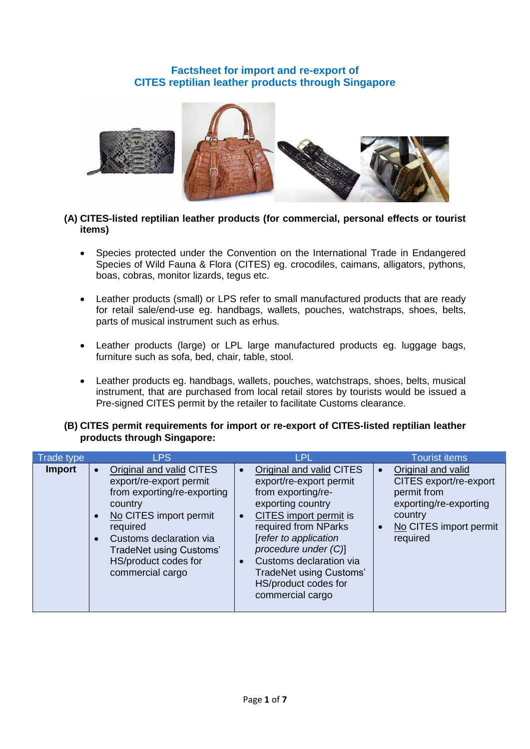# **Factsheet for import and re-export of CITES reptilian leather products through Singapore**



### **(A) CITES-listed reptilian leather products (for commercial, personal effects or tourist items)**

- Species protected under the Convention on the International Trade in Endangered Species of Wild Fauna & Flora (CITES) eg. crocodiles, caimans, alligators, pythons, boas, cobras, monitor lizards, tegus etc.
- Leather products (small) or LPS refer to small manufactured products that are ready for retail sale/end-use eg. handbags, wallets, pouches, watchstraps, shoes, belts, parts of musical instrument such as erhus.
- Leather products (large) or LPL large manufactured products eg. luggage bags, furniture such as sofa, bed, chair, table, stool.
- Leather products eg. handbags, wallets, pouches, watchstraps, shoes, belts, musical instrument, that are purchased from local retail stores by tourists would be issued a Pre-signed CITES permit by the retailer to facilitate Customs clearance.

#### **(B) CITES permit requirements for import or re-export of CITES-listed reptilian leather products through Singapore:**

| Trade type    |                                     | <b>LPS</b>                                                                                                                                                                                                                                   | <b>LPL</b>                                                                                                                                                                                                                                                                                          | <b>Tourist items</b>                                                                                                                   |
|---------------|-------------------------------------|----------------------------------------------------------------------------------------------------------------------------------------------------------------------------------------------------------------------------------------------|-----------------------------------------------------------------------------------------------------------------------------------------------------------------------------------------------------------------------------------------------------------------------------------------------------|----------------------------------------------------------------------------------------------------------------------------------------|
| <b>Import</b> | $\bullet$<br>$\bullet$<br>$\bullet$ | Original and valid CITES<br>export/re-export permit<br>from exporting/re-exporting<br>country<br>No CITES import permit<br>required<br>Customs declaration via<br><b>TradeNet using Customs'</b><br>HS/product codes for<br>commercial cargo | Original and valid CITES<br>export/re-export permit<br>from exporting/re-<br>exporting country<br>CITES import permit is<br>required from NParks<br>[refer to application<br>procedure under (C)]<br>Customs declaration via<br>TradeNet using Customs'<br>HS/product codes for<br>commercial cargo | Original and valid<br>CITES export/re-export<br>permit from<br>exporting/re-exporting<br>country<br>No CITES import permit<br>required |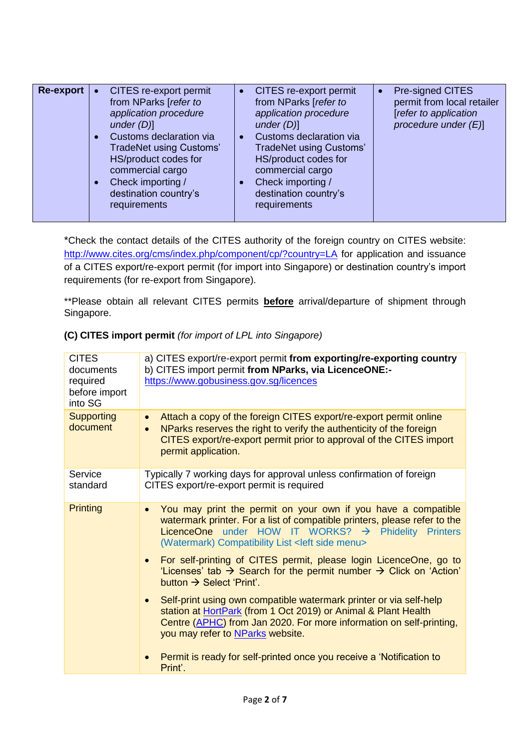| Re-export | CITES re-export permit<br>from NParks [refer to<br>application procedure<br>under $(D)$ ]<br>Customs declaration via<br><b>TradeNet using Customs'</b><br>HS/product codes for<br>commercial cargo<br>Check importing /<br>destination country's | CITES re-export permit<br>from NParks [refer to<br>application procedure<br>under $(D)$ ]<br>Customs declaration via<br>TradeNet using Customs'<br>HS/product codes for<br>commercial cargo<br>Check importing /<br>destination country's | <b>Pre-signed CITES</b><br>permit from local retailer<br>[refer to application<br>procedure under $(E)$ ] |
|-----------|--------------------------------------------------------------------------------------------------------------------------------------------------------------------------------------------------------------------------------------------------|-------------------------------------------------------------------------------------------------------------------------------------------------------------------------------------------------------------------------------------------|-----------------------------------------------------------------------------------------------------------|
|           | requirements                                                                                                                                                                                                                                     | requirements                                                                                                                                                                                                                              |                                                                                                           |

\*Check the contact details of the CITES authority of the foreign country on CITES website: <http://www.cites.org/cms/index.php/component/cp/?country=LA> for application and issuance of a CITES export/re-export permit (for import into Singapore) or destination country's import requirements (for re-export from Singapore).

\*\*Please obtain all relevant CITES permits **before** arrival/departure of shipment through Singapore.

| <b>CITES</b><br>documents<br>required<br>before import<br>into SG | a) CITES export/re-export permit from exporting/re-exporting country<br>b) CITES import permit from NParks, via LicenceONE:-<br>https://www.gobusiness.gov.sg/licences                                                                                                                     |
|-------------------------------------------------------------------|--------------------------------------------------------------------------------------------------------------------------------------------------------------------------------------------------------------------------------------------------------------------------------------------|
| <b>Supporting</b><br>document                                     | Attach a copy of the foreign CITES export/re-export permit online<br>$\bullet$<br>NParks reserves the right to verify the authenticity of the foreign<br>CITES export/re-export permit prior to approval of the CITES import<br>permit application.                                        |
| Service<br>standard                                               | Typically 7 working days for approval unless confirmation of foreign<br>CITES export/re-export permit is required                                                                                                                                                                          |
| <b>Printing</b>                                                   | You may print the permit on your own if you have a compatible<br>$\bullet$<br>watermark printer. For a list of compatible printers, please refer to the<br>LicenceOne under HOW IT WORKS? $\rightarrow$ Phidelity Printers<br>(Watermark) Compatibility List <left menu="" side=""></left> |
|                                                                   | For self-printing of CITES permit, please login LicenceOne, go to<br>$\bullet$<br>'Licenses' tab $\rightarrow$ Search for the permit number $\rightarrow$ Click on 'Action'<br>button $\rightarrow$ Select 'Print'.                                                                        |
|                                                                   | Self-print using own compatible watermark printer or via self-help<br>$\bullet$<br>station at HortPark (from 1 Oct 2019) or Animal & Plant Health<br>Centre (APHC) from Jan 2020. For more information on self-printing,<br>you may refer to NParks website.                               |
|                                                                   | Permit is ready for self-printed once you receive a 'Notification to<br>Print'.                                                                                                                                                                                                            |

### **(C) CITES import permit** *(for import of LPL into Singapore)*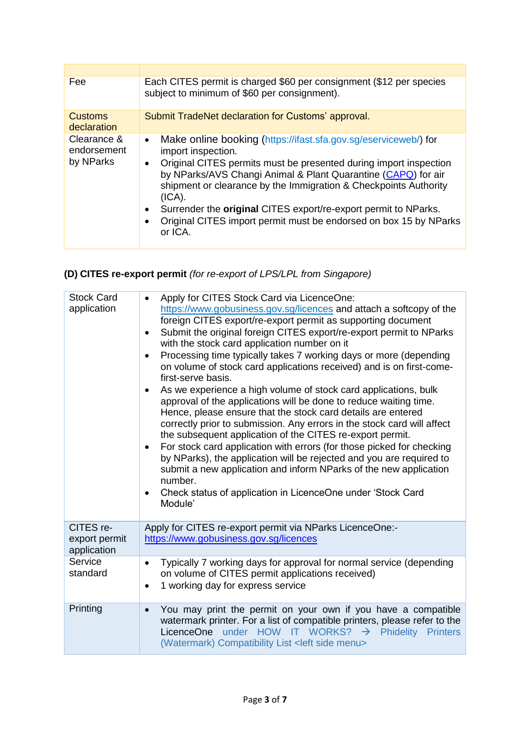| Fee                                     | Each CITES permit is charged \$60 per consignment (\$12 per species<br>subject to minimum of \$60 per consignment).                                                                                                                                                                                                                                                                                                                                                                                      |
|-----------------------------------------|----------------------------------------------------------------------------------------------------------------------------------------------------------------------------------------------------------------------------------------------------------------------------------------------------------------------------------------------------------------------------------------------------------------------------------------------------------------------------------------------------------|
| <b>Customs</b><br>declaration           | Submit TradeNet declaration for Customs' approval.                                                                                                                                                                                                                                                                                                                                                                                                                                                       |
| Clearance &<br>endorsement<br>by NParks | Make online booking (https://ifast.sfa.gov.sg/eserviceweb/) for<br>$\bullet$<br>import inspection.<br>Original CITES permits must be presented during import inspection<br>$\bullet$<br>by NParks/AVS Changi Animal & Plant Quarantine (CAPQ) for air<br>shipment or clearance by the Immigration & Checkpoints Authority<br>(ICA).<br>Surrender the original CITES export/re-export permit to NParks.<br>٠<br>Original CITES import permit must be endorsed on box 15 by NParks<br>$\bullet$<br>or ICA. |

# **(D) CITES re-export permit** *(for re-export of LPS/LPL from Singapore)*

| <b>Stock Card</b><br>application          | Apply for CITES Stock Card via LicenceOne:<br>$\bullet$<br>https://www.gobusiness.gov.sg/licences and attach a softcopy of the<br>foreign CITES export/re-export permit as supporting document<br>Submit the original foreign CITES export/re-export permit to NParks<br>٠<br>with the stock card application number on it<br>Processing time typically takes 7 working days or more (depending<br>$\bullet$<br>on volume of stock card applications received) and is on first-come-<br>first-serve basis.<br>As we experience a high volume of stock card applications, bulk<br>$\bullet$<br>approval of the applications will be done to reduce waiting time.<br>Hence, please ensure that the stock card details are entered<br>correctly prior to submission. Any errors in the stock card will affect<br>the subsequent application of the CITES re-export permit.<br>For stock card application with errors (for those picked for checking<br>$\bullet$<br>by NParks), the application will be rejected and you are required to<br>submit a new application and inform NParks of the new application<br>number.<br>Check status of application in LicenceOne under 'Stock Card<br>$\bullet$<br>Module' |
|-------------------------------------------|--------------------------------------------------------------------------------------------------------------------------------------------------------------------------------------------------------------------------------------------------------------------------------------------------------------------------------------------------------------------------------------------------------------------------------------------------------------------------------------------------------------------------------------------------------------------------------------------------------------------------------------------------------------------------------------------------------------------------------------------------------------------------------------------------------------------------------------------------------------------------------------------------------------------------------------------------------------------------------------------------------------------------------------------------------------------------------------------------------------------------------------------------------------------------------------------------------------|
| CITES re-<br>export permit<br>application | Apply for CITES re-export permit via NParks LicenceOne:-<br>https://www.gobusiness.gov.sg/licences                                                                                                                                                                                                                                                                                                                                                                                                                                                                                                                                                                                                                                                                                                                                                                                                                                                                                                                                                                                                                                                                                                           |
| Service<br>standard                       | Typically 7 working days for approval for normal service (depending<br>$\bullet$<br>on volume of CITES permit applications received)<br>1 working day for express service<br>$\bullet$                                                                                                                                                                                                                                                                                                                                                                                                                                                                                                                                                                                                                                                                                                                                                                                                                                                                                                                                                                                                                       |
| Printing                                  | You may print the permit on your own if you have a compatible<br>$\bullet$<br>watermark printer. For a list of compatible printers, please refer to the<br>LicenceOne under HOW IT WORKS? $\rightarrow$ Phidelity Printers<br>(Watermark) Compatibility List <left menu="" side=""></left>                                                                                                                                                                                                                                                                                                                                                                                                                                                                                                                                                                                                                                                                                                                                                                                                                                                                                                                   |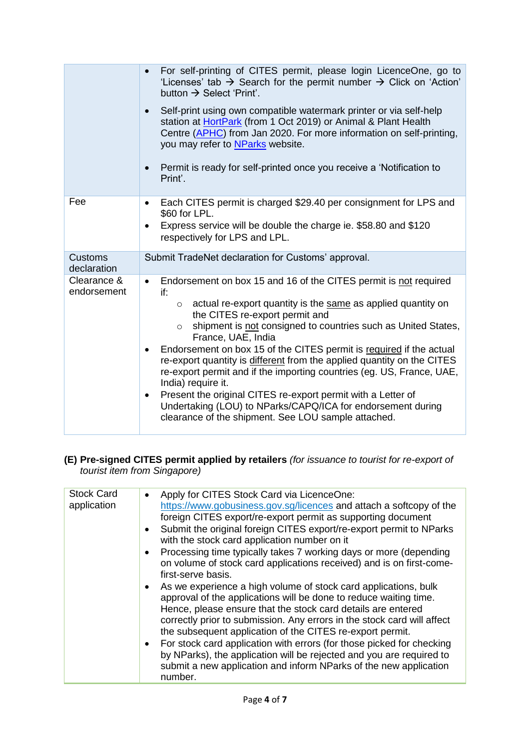|                               | For self-printing of CITES permit, please login LicenceOne, go to<br>'Licenses' tab $\rightarrow$ Search for the permit number $\rightarrow$ Click on 'Action'<br>button $\rightarrow$ Select 'Print'.                                                                                                                                                                                                                                                                                                                                                                                                                                                                                                                                                 |
|-------------------------------|--------------------------------------------------------------------------------------------------------------------------------------------------------------------------------------------------------------------------------------------------------------------------------------------------------------------------------------------------------------------------------------------------------------------------------------------------------------------------------------------------------------------------------------------------------------------------------------------------------------------------------------------------------------------------------------------------------------------------------------------------------|
|                               | Self-print using own compatible watermark printer or via self-help<br>$\bullet$<br>station at HortPark (from 1 Oct 2019) or Animal & Plant Health<br>Centre (APHC) from Jan 2020. For more information on self-printing,<br>you may refer to NParks website.                                                                                                                                                                                                                                                                                                                                                                                                                                                                                           |
|                               | Permit is ready for self-printed once you receive a 'Notification to<br>$\bullet$<br>Print'.                                                                                                                                                                                                                                                                                                                                                                                                                                                                                                                                                                                                                                                           |
| Fee                           | Each CITES permit is charged \$29.40 per consignment for LPS and<br>$\bullet$<br>\$60 for LPL.                                                                                                                                                                                                                                                                                                                                                                                                                                                                                                                                                                                                                                                         |
|                               | Express service will be double the charge ie. \$58.80 and \$120<br>respectively for LPS and LPL.                                                                                                                                                                                                                                                                                                                                                                                                                                                                                                                                                                                                                                                       |
| <b>Customs</b><br>declaration | Submit TradeNet declaration for Customs' approval.                                                                                                                                                                                                                                                                                                                                                                                                                                                                                                                                                                                                                                                                                                     |
| Clearance &<br>endorsement    | Endorsement on box 15 and 16 of the CITES permit is not required<br>$\bullet$<br>if:<br>actual re-export quantity is the same as applied quantity on<br>$\circ$<br>the CITES re-export permit and<br>shipment is not consigned to countries such as United States,<br>$\circ$<br>France, UAE, India<br>Endorsement on box 15 of the CITES permit is required if the actual<br>re-export quantity is different from the applied quantity on the CITES<br>re-export permit and if the importing countries (eg. US, France, UAE,<br>India) require it.<br>Present the original CITES re-export permit with a Letter of<br>$\bullet$<br>Undertaking (LOU) to NParks/CAPQ/ICA for endorsement during<br>clearance of the shipment. See LOU sample attached. |

# **(E) Pre-signed CITES permit applied by retailers** *(for issuance to tourist for re-export of tourist item from Singapore)*

| <b>Stock Card</b> | Apply for CITES Stock Card via LicenceOne:<br>$\bullet$                          |
|-------------------|----------------------------------------------------------------------------------|
| application       | https://www.gobusiness.gov.sg/licences and attach a softcopy of the              |
|                   | foreign CITES export/re-export permit as supporting document                     |
|                   | Submit the original foreign CITES export/re-export permit to NParks<br>$\bullet$ |
|                   | with the stock card application number on it                                     |
|                   | Processing time typically takes 7 working days or more (depending<br>$\bullet$   |
|                   | on volume of stock card applications received) and is on first-come-             |
|                   | first-serve basis.                                                               |
|                   | As we experience a high volume of stock card applications, bulk<br>$\bullet$     |
|                   | approval of the applications will be done to reduce waiting time.                |
|                   | Hence, please ensure that the stock card details are entered                     |
|                   | correctly prior to submission. Any errors in the stock card will affect          |
|                   | the subsequent application of the CITES re-export permit.                        |
|                   | • For stock card application with errors (for those picked for checking          |
|                   | by NParks), the application will be rejected and you are required to             |
|                   | submit a new application and inform NParks of the new application                |
|                   | number.                                                                          |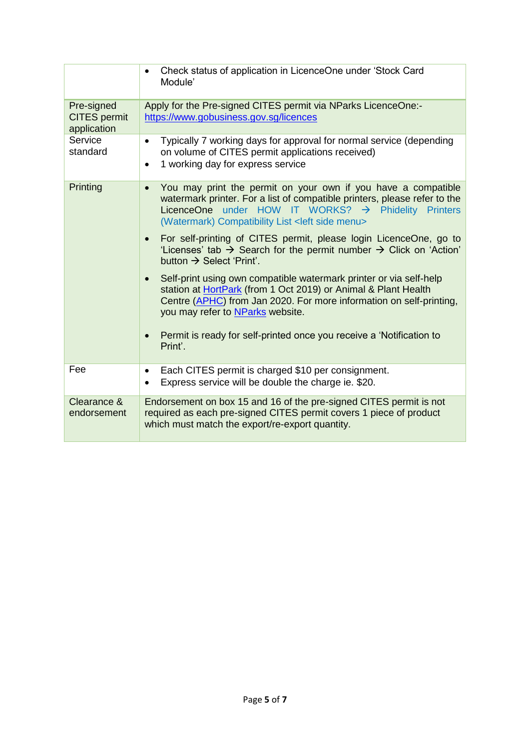|                                                  | Check status of application in LicenceOne under 'Stock Card<br>Module'                                                                                                                                                                                                         |
|--------------------------------------------------|--------------------------------------------------------------------------------------------------------------------------------------------------------------------------------------------------------------------------------------------------------------------------------|
| Pre-signed<br><b>CITES</b> permit<br>application | Apply for the Pre-signed CITES permit via NParks LicenceOne:-<br>https://www.gobusiness.gov.sg/licences                                                                                                                                                                        |
| Service<br>standard                              | Typically 7 working days for approval for normal service (depending<br>$\bullet$<br>on volume of CITES permit applications received)<br>1 working day for express service<br>$\bullet$                                                                                         |
| Printing                                         | You may print the permit on your own if you have a compatible<br>$\bullet$<br>watermark printer. For a list of compatible printers, please refer to the<br>LicenceOne under HOW IT WORKS? $\rightarrow$ Phidelity Printers<br>(Watermark) Compatibility List < left side menu> |
|                                                  | For self-printing of CITES permit, please login LicenceOne, go to<br>$\bullet$<br>'Licenses' tab $\rightarrow$ Search for the permit number $\rightarrow$ Click on 'Action'<br>button $\rightarrow$ Select 'Print'.                                                            |
|                                                  | Self-print using own compatible watermark printer or via self-help<br>station at HortPark (from 1 Oct 2019) or Animal & Plant Health<br>Centre (APHC) from Jan 2020. For more information on self-printing,<br>you may refer to NParks website.                                |
|                                                  | Permit is ready for self-printed once you receive a 'Notification to<br>$\bullet$<br>Print'.                                                                                                                                                                                   |
| Fee                                              | Each CITES permit is charged \$10 per consignment.<br>٠<br>Express service will be double the charge ie. \$20.<br>$\bullet$                                                                                                                                                    |
| Clearance &<br>endorsement                       | Endorsement on box 15 and 16 of the pre-signed CITES permit is not<br>required as each pre-signed CITES permit covers 1 piece of product<br>which must match the export/re-export quantity.                                                                                    |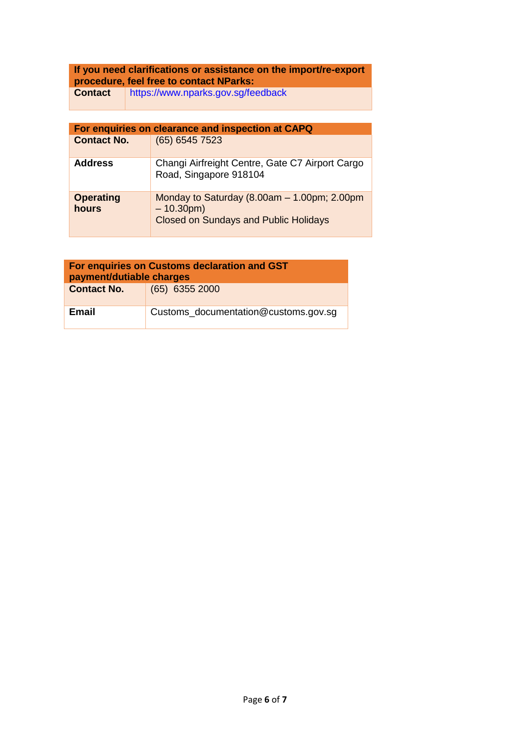# **If you need clarifications or assistance on the import/re-export procedure, feel free to contact NParks:**

**Contact** <https://www.nparks.gov.sg/feedback>

| For enquiries on clearance and inspection at CAPQ |                                                                                                                |  |  |  |
|---------------------------------------------------|----------------------------------------------------------------------------------------------------------------|--|--|--|
| <b>Contact No.</b>                                | (65) 6545 7523                                                                                                 |  |  |  |
| <b>Address</b>                                    | Changi Airfreight Centre, Gate C7 Airport Cargo<br>Road, Singapore 918104                                      |  |  |  |
| <b>Operating</b><br>hours                         | Monday to Saturday $(8.00am - 1.00pm; 2.00pm)$<br>$-10.30$ pm)<br><b>Closed on Sundays and Public Holidays</b> |  |  |  |

| For enquiries on Customs declaration and GST<br>payment/dutiable charges |                                      |  |  |  |
|--------------------------------------------------------------------------|--------------------------------------|--|--|--|
| <b>Contact No.</b>                                                       | $(65)$ 6355 2000                     |  |  |  |
| <b>Email</b>                                                             | Customs_documentation@customs.gov.sg |  |  |  |